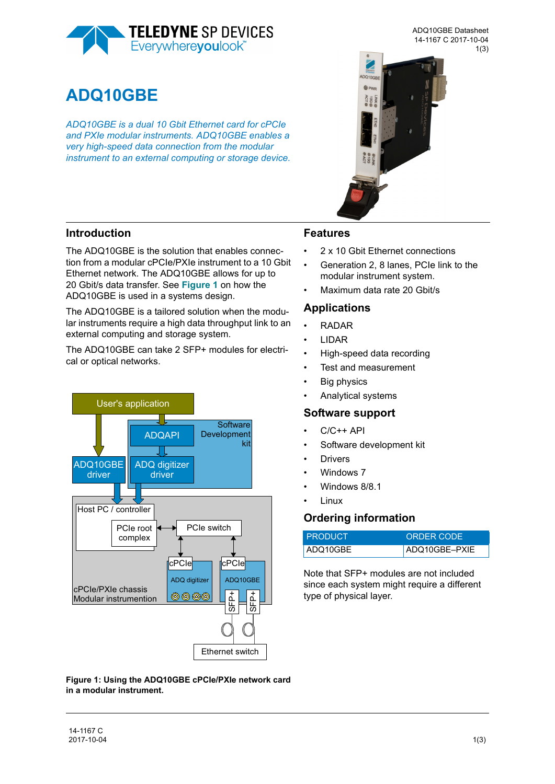

**ADQ10GBE**

*ADQ10GBE is a dual 10 Gbit Ethernet card for cPCIe and PXIe modular instruments. ADQ10GBE enables a very high-speed data connection from the modular instrument to an external computing or storage device.* 



ADQ10GBE Datasheet



### **Introduction**

The ADQ10GBE is the solution that enables connection from a modular cPCIe/PXIe instrument to a 10 Gbit Ethernet network. The ADQ10GBE allows for up to 20 Gbit/s data transfer. See **Figure 1** on how the ADQ10GBE is used in a systems design.

The ADQ10GBE is a tailored solution when the modular instruments require a high data throughput link to an external computing and storage system.

The ADQ10GBE can take 2 SFP+ modules for electrical or optical networks.



### **Features**

- 2 x 10 Gbit Ethernet connections
- Generation 2, 8 lanes, PCIe link to the modular instrument system.
- Maximum data rate 20 Gbit/s

### **Applications**

- RADAR
- LIDAR
- High-speed data recording
- Test and measurement
- **Big physics**
- Analytical systems

#### **Software support**

- $C/C++$  API
- Software development kit
- **Drivers**
- Windows 7
- Windows 8/8.1
- Linux

### **Ordering information**

| I PRODUCT | ORDER CODE    |
|-----------|---------------|
| ADQ10GBE  | ADQ10GBE-PXIE |

Note that SFP+ modules are not included since each system might require a different type of physical layer.

**Figure 1: Using the ADQ10GBE cPCIe/PXIe network card in a modular instrument.**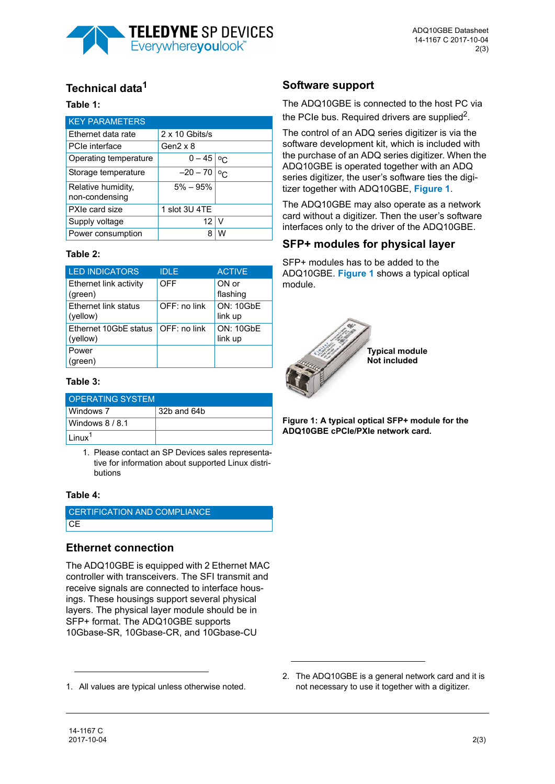

# **Technical data1**

#### **Table 1:**

| <b>KEY PARAMETERS</b>                |                       |            |
|--------------------------------------|-----------------------|------------|
| Ethernet data rate                   | $2 \times 10$ Gbits/s |            |
| PCIe interface                       | Gen $2 \times 8$      |            |
| Operating temperature                | $0 - 45$              | $^{\circ}$ |
| Storage temperature                  | $-20 - 70$            | $^{\circ}$ |
| Relative humidity,<br>non-condensing | $5\% - 95\%$          |            |
| PXIe card size                       | 1 slot 3U 4TE         |            |
| Supply voltage                       | 12                    | V          |
| Power consumption                    | 8                     | w          |

#### **Table 2:**

| <b>LED INDICATORS</b>             | <b>IDLE</b>   | <b>ACTIVE</b>               |
|-----------------------------------|---------------|-----------------------------|
| Ethernet link activity<br>(green) | <b>OFF</b>    | ON or<br>flashing           |
| Ethernet link status<br>(yellow)  | OFF: no link  | <b>ON: 10GbE</b><br>link up |
| Ethernet 10GbE status<br>(yellow) | $OFF:no$ link | <b>ON: 10GbE</b><br>link up |
| Power<br>(green)                  |               |                             |

### **Table 3:**

| <b>OPERATING SYSTEM</b> |             |  |
|-------------------------|-------------|--|
| Windows 7               | 32b and 64b |  |
| Windows 8/8.1           |             |  |
| $\ln \frac{1}{2}$       |             |  |

1. Please contact an SP Devices sales representative for information about supported Linux distributions

#### **Table 4:**

| CERTIFICATION AND COMPLIANCE |  |
|------------------------------|--|
| <b>CE</b>                    |  |

## **Ethernet connection**

The ADQ10GBE is equipped with 2 Ethernet MAC controller with transceivers. The SFI transmit and receive signals are connected to interface housings. These housings support several physical layers. The physical layer module should be in SFP+ format. The ADQ10GBE supports 10Gbase-SR, 10Gbase-CR, and 10Gbase-CU

1. All values are typical unless otherwise noted.

## **Software support**

The ADQ10GBE is connected to the host PC via the PCIe bus. Required drivers are supplied<sup>2</sup>.

The control of an ADQ series digitizer is via the software development kit, which is included with the purchase of an ADQ series digitizer. When the ADQ10GBE is operated together with an ADQ series digitizer, the user's software ties the digitizer together with ADQ10GBE, **Figure 1**.

The ADQ10GBE may also operate as a network card without a digitizer. Then the user's software interfaces only to the driver of the ADQ10GBE.

## **SFP+ modules for physical layer**

SFP+ modules has to be added to the ADQ10GBE. **[Figure 1](#page-1-0)** shows a typical optical module.



<span id="page-1-0"></span>**Figure 1: A typical optical SFP+ module for the ADQ10GBE cPCIe/PXIe network card.** 

2. The ADQ10GBE is a general network card and it is not necessary to use it together with a digitizer.